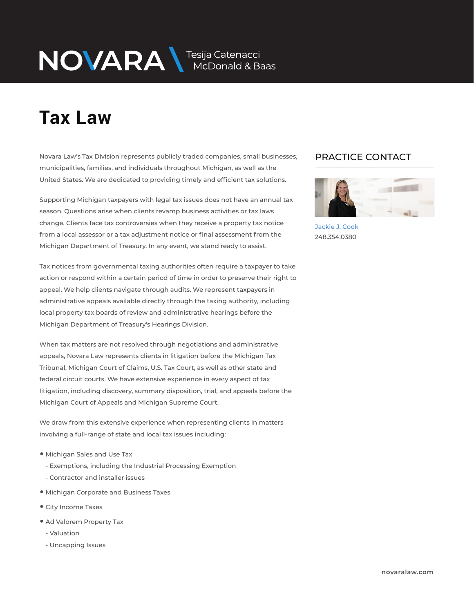# NOVARA MEDOnald & Baas

## **Tax Law**

Novara Law's Tax Division represents publicly traded companies, small businesses, municipalities, families, and individuals throughout Michigan, as well as the United States. We are dedicated to providing timely and efficient tax solutions.

Supporting Michigan taxpayers with legal tax issues does not have an annual tax season. Questions arise when clients revamp business activities or tax laws change. Clients face tax controversies when they receive a property tax notice from a local assessor or a tax adjustment notice or final assessment from the Michigan Department of Treasury. In any event, we stand ready to assist.

Tax notices from governmental taxing authorities often require a taxpayer to take action or respond within a certain period of time in order to preserve their right to appeal. We help clients navigate through audits. We represent taxpayers in administrative appeals available directly through the taxing authority, including local property tax boards of review and administrative hearings before the Michigan Department of Treasury's Hearings Division.

When tax matters are not resolved through negotiations and administrative appeals, Novara Law represents clients in litigation before the Michigan Tax Tribunal, Michigan Court of Claims, U.S. Tax Court, as well as other state and federal circuit courts. We have extensive experience in every aspect of tax litigation, including discovery, summary disposition, trial, and appeals before the Michigan Court of Appeals and Michigan Supreme Court.

We draw from this extensive experience when representing clients in matters involving a full-range of state and local tax issues including:

- Michigan Sales and Use Tax
	- Exemptions, including the Industrial Processing Exemption
	- Contractor and installer issues
- Michigan Corporate and Business Taxes
- City Income Taxes
- Ad Valorem Property Tax
	- Valuation
	- Uncapping Issues

## PRACTICE CONTACT  $\overline{\phantom{a}}$



Jackie J. Cook 248.354.0380